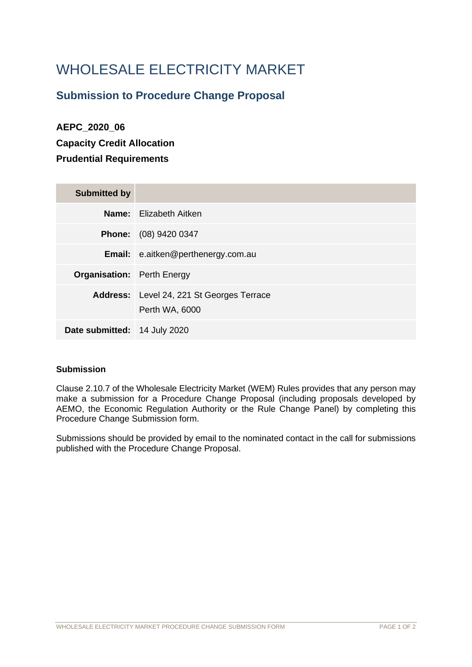# WHOLESALE ELECTRICITY MARKET

### **Submission to Procedure Change Proposal**

## **AEPC\_2020\_06 Capacity Credit Allocation Prudential Requirements**

| <b>Submitted by</b>               |                                                             |
|-----------------------------------|-------------------------------------------------------------|
|                                   | <b>Name:</b> Elizabeth Aitken                               |
|                                   | <b>Phone:</b> (08) 9420 0347                                |
|                                   | Email: e.aitken@perthenergy.com.au                          |
| <b>Organisation:</b> Perth Energy |                                                             |
|                                   | Address: Level 24, 221 St Georges Terrace<br>Perth WA, 6000 |
| Date submitted: 14 July 2020      |                                                             |

### **Submission**

Clause 2.10.7 of the Wholesale Electricity Market (WEM) Rules provides that any person may make a submission for a Procedure Change Proposal (including proposals developed by AEMO, the Economic Regulation Authority or the Rule Change Panel) by completing this Procedure Change Submission form.

Submissions should be provided by email to the nominated contact in the call for submissions published with the Procedure Change Proposal.